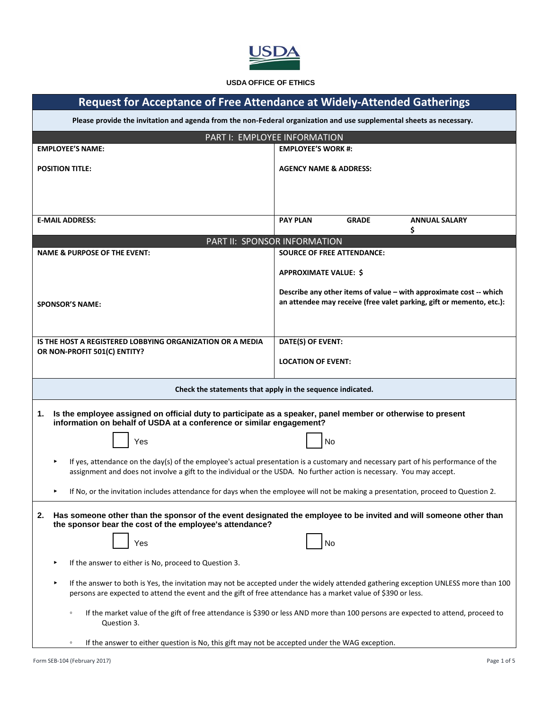

#### **USDA OFFICE OF ETHICS**

| <b>Request for Acceptance of Free Attendance at Widely-Attended Gatherings</b>                                                                                                                                                                              |                                                                                                                                                                            |  |  |  |
|-------------------------------------------------------------------------------------------------------------------------------------------------------------------------------------------------------------------------------------------------------------|----------------------------------------------------------------------------------------------------------------------------------------------------------------------------|--|--|--|
| Please provide the invitation and agenda from the non-Federal organization and use supplemental sheets as necessary.                                                                                                                                        |                                                                                                                                                                            |  |  |  |
| PART I: EMPLOYEE INFORMATION                                                                                                                                                                                                                                |                                                                                                                                                                            |  |  |  |
| <b>EMPLOYEE'S NAME:</b>                                                                                                                                                                                                                                     | <b>EMPLOYEE'S WORK #:</b>                                                                                                                                                  |  |  |  |
| <b>POSITION TITLE:</b>                                                                                                                                                                                                                                      | <b>AGENCY NAME &amp; ADDRESS:</b>                                                                                                                                          |  |  |  |
|                                                                                                                                                                                                                                                             |                                                                                                                                                                            |  |  |  |
| <b>E-MAIL ADDRESS:</b>                                                                                                                                                                                                                                      | <b>PAY PLAN</b><br><b>GRADE</b><br><b>ANNUAL SALARY</b><br>\$                                                                                                              |  |  |  |
| PART II: SPONSOR INFORMATION                                                                                                                                                                                                                                |                                                                                                                                                                            |  |  |  |
| <b>NAME &amp; PURPOSE OF THE EVENT:</b>                                                                                                                                                                                                                     | <b>SOURCE OF FREE ATTENDANCE:</b>                                                                                                                                          |  |  |  |
| <b>SPONSOR'S NAME:</b>                                                                                                                                                                                                                                      | <b>APPROXIMATE VALUE: \$</b><br>Describe any other items of value - with approximate cost -- which<br>an attendee may receive (free valet parking, gift or memento, etc.): |  |  |  |
| <b>IS THE HOST A REGISTERED LOBBYING ORGANIZATION OR A MEDIA</b>                                                                                                                                                                                            | DATE(S) OF EVENT:                                                                                                                                                          |  |  |  |
| OR NON-PROFIT 501(C) ENTITY?                                                                                                                                                                                                                                |                                                                                                                                                                            |  |  |  |
|                                                                                                                                                                                                                                                             | <b>LOCATION OF EVENT:</b>                                                                                                                                                  |  |  |  |
| Check the statements that apply in the sequence indicated.                                                                                                                                                                                                  |                                                                                                                                                                            |  |  |  |
| Is the employee assigned on official duty to participate as a speaker, panel member or otherwise to present<br>1.<br>information on behalf of USDA at a conference or similar engagement?                                                                   |                                                                                                                                                                            |  |  |  |
| Yes                                                                                                                                                                                                                                                         | No                                                                                                                                                                         |  |  |  |
| If yes, attendance on the day(s) of the employee's actual presentation is a customary and necessary part of his performance of the<br>assignment and does not involve a gift to the individual or the USDA. No further action is necessary. You may accept. |                                                                                                                                                                            |  |  |  |
| If No, or the invitation includes attendance for days when the employee will not be making a presentation, proceed to Question 2.                                                                                                                           |                                                                                                                                                                            |  |  |  |
| Has someone other than the sponsor of the event designated the employee to be invited and will someone other than<br>2.<br>the sponsor bear the cost of the employee's attendance?<br>Yes<br>No                                                             |                                                                                                                                                                            |  |  |  |
|                                                                                                                                                                                                                                                             |                                                                                                                                                                            |  |  |  |
| If the answer to either is No, proceed to Question 3.<br>▶                                                                                                                                                                                                  |                                                                                                                                                                            |  |  |  |
| If the answer to both is Yes, the invitation may not be accepted under the widely attended gathering exception UNLESS more than 100<br>▶<br>persons are expected to attend the event and the gift of free attendance has a market value of \$390 or less.   |                                                                                                                                                                            |  |  |  |
| $\circ$<br>Question 3.                                                                                                                                                                                                                                      | If the market value of the gift of free attendance is \$390 or less AND more than 100 persons are expected to attend, proceed to                                           |  |  |  |
| If the answer to either question is No, this gift may not be accepted under the WAG exception.<br>$\circ$                                                                                                                                                   |                                                                                                                                                                            |  |  |  |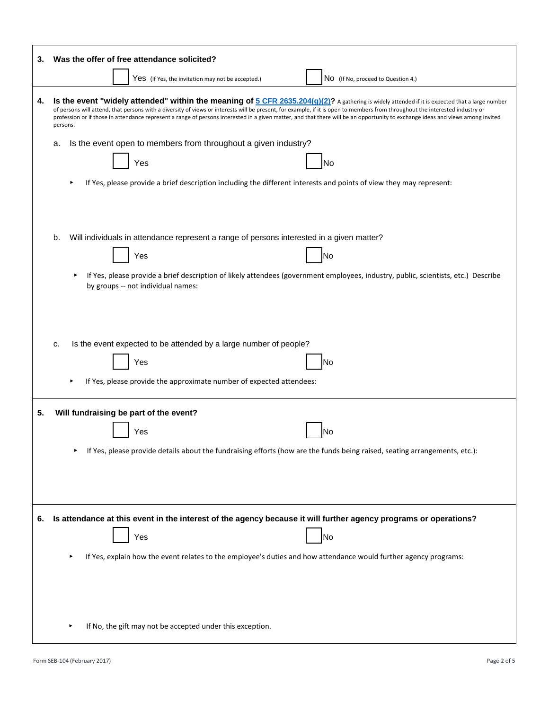| 3. | Was the offer of free attendance solicited?                                                                                                                                                                                                                                                                                                                                                                                                                                                                                          |  |  |
|----|--------------------------------------------------------------------------------------------------------------------------------------------------------------------------------------------------------------------------------------------------------------------------------------------------------------------------------------------------------------------------------------------------------------------------------------------------------------------------------------------------------------------------------------|--|--|
|    | Yes (If Yes, the invitation may not be accepted.)<br>NO (If No, proceed to Question 4.)                                                                                                                                                                                                                                                                                                                                                                                                                                              |  |  |
| 4. | Is the event "widely attended" within the meaning of $5$ CFR $2635.204(g)(2)$ ? A gathering is widely attended if it is expected that a large number<br>of persons will attend, that persons with a diversity of views or interests will be present, for example, if it is open to members from throughout the interested industry or<br>profession or if those in attendance represent a range of persons interested in a given matter, and that there will be an opportunity to exchange ideas and views among invited<br>persons. |  |  |
|    | Is the event open to members from throughout a given industry?<br>a.<br>Yes<br>No                                                                                                                                                                                                                                                                                                                                                                                                                                                    |  |  |
|    | If Yes, please provide a brief description including the different interests and points of view they may represent:                                                                                                                                                                                                                                                                                                                                                                                                                  |  |  |
|    | Will individuals in attendance represent a range of persons interested in a given matter?<br>b.<br>Yes<br>No<br>If Yes, please provide a brief description of likely attendees (government employees, industry, public, scientists, etc.) Describe<br>by groups -- not individual names:                                                                                                                                                                                                                                             |  |  |
|    | Is the event expected to be attended by a large number of people?<br>c.<br>Yes<br>No<br>If Yes, please provide the approximate number of expected attendees:                                                                                                                                                                                                                                                                                                                                                                         |  |  |
| 5. | Will fundraising be part of the event?<br>Yes<br>No<br>Tr Yes, please provide details about the fundraising efforts (now are the funds being raised, seating arrangements, etc.):                                                                                                                                                                                                                                                                                                                                                    |  |  |
|    |                                                                                                                                                                                                                                                                                                                                                                                                                                                                                                                                      |  |  |
| 6. | Is attendance at this event in the interest of the agency because it will further agency programs or operations?<br>Yes<br>No                                                                                                                                                                                                                                                                                                                                                                                                        |  |  |
|    | If Yes, explain how the event relates to the employee's duties and how attendance would further agency programs:                                                                                                                                                                                                                                                                                                                                                                                                                     |  |  |
|    | If No, the gift may not be accepted under this exception.                                                                                                                                                                                                                                                                                                                                                                                                                                                                            |  |  |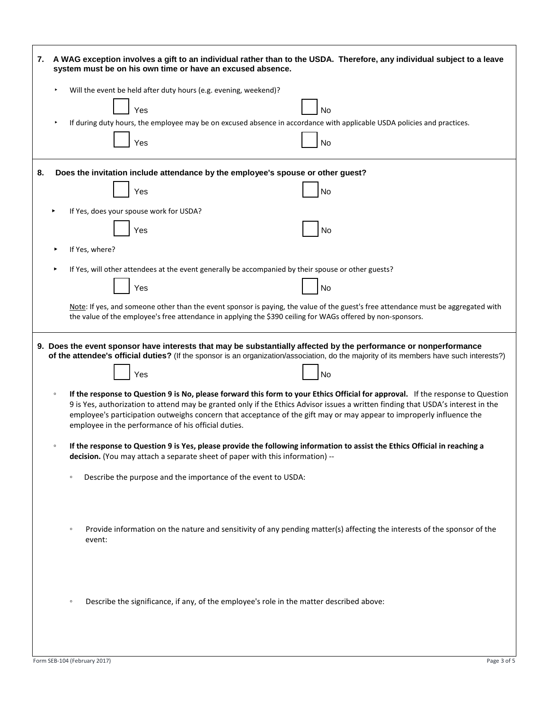| 7.                                                                                                                                                                                                                                                |                                                                                                                                                                                                                                                                                                                                                                                                                                                               | A WAG exception involves a gift to an individual rather than to the USDA. Therefore, any individual subject to a leave<br>system must be on his own time or have an excused absence.                                                                                     |  |  |  |
|---------------------------------------------------------------------------------------------------------------------------------------------------------------------------------------------------------------------------------------------------|---------------------------------------------------------------------------------------------------------------------------------------------------------------------------------------------------------------------------------------------------------------------------------------------------------------------------------------------------------------------------------------------------------------------------------------------------------------|--------------------------------------------------------------------------------------------------------------------------------------------------------------------------------------------------------------------------------------------------------------------------|--|--|--|
|                                                                                                                                                                                                                                                   |                                                                                                                                                                                                                                                                                                                                                                                                                                                               | Will the event be held after duty hours (e.g. evening, weekend)?<br>Yes<br>No<br>If during duty hours, the employee may be on excused absence in accordance with applicable USDA policies and practices.                                                                 |  |  |  |
|                                                                                                                                                                                                                                                   |                                                                                                                                                                                                                                                                                                                                                                                                                                                               | Yes<br>No                                                                                                                                                                                                                                                                |  |  |  |
| 8.                                                                                                                                                                                                                                                | Does the invitation include attendance by the employee's spouse or other guest?                                                                                                                                                                                                                                                                                                                                                                               |                                                                                                                                                                                                                                                                          |  |  |  |
|                                                                                                                                                                                                                                                   |                                                                                                                                                                                                                                                                                                                                                                                                                                                               | Yes<br>No                                                                                                                                                                                                                                                                |  |  |  |
|                                                                                                                                                                                                                                                   |                                                                                                                                                                                                                                                                                                                                                                                                                                                               | If Yes, does your spouse work for USDA?                                                                                                                                                                                                                                  |  |  |  |
|                                                                                                                                                                                                                                                   |                                                                                                                                                                                                                                                                                                                                                                                                                                                               | Yes<br>No                                                                                                                                                                                                                                                                |  |  |  |
|                                                                                                                                                                                                                                                   |                                                                                                                                                                                                                                                                                                                                                                                                                                                               | If Yes, where?                                                                                                                                                                                                                                                           |  |  |  |
|                                                                                                                                                                                                                                                   |                                                                                                                                                                                                                                                                                                                                                                                                                                                               | If Yes, will other attendees at the event generally be accompanied by their spouse or other guests?                                                                                                                                                                      |  |  |  |
|                                                                                                                                                                                                                                                   |                                                                                                                                                                                                                                                                                                                                                                                                                                                               | Yes<br>No                                                                                                                                                                                                                                                                |  |  |  |
| Note: If yes, and someone other than the event sponsor is paying, the value of the guest's free attendance must be aggregated with<br>the value of the employee's free attendance in applying the \$390 ceiling for WAGs offered by non-sponsors. |                                                                                                                                                                                                                                                                                                                                                                                                                                                               |                                                                                                                                                                                                                                                                          |  |  |  |
|                                                                                                                                                                                                                                                   |                                                                                                                                                                                                                                                                                                                                                                                                                                                               | 9. Does the event sponsor have interests that may be substantially affected by the performance or nonperformance<br>of the attendee's official duties? (If the sponsor is an organization/association, do the majority of its members have such interests?)<br>Yes<br>No |  |  |  |
|                                                                                                                                                                                                                                                   | If the response to Question 9 is No, please forward this form to your Ethics Official for approval. If the response to Question<br>$\circ$<br>9 is Yes, authorization to attend may be granted only if the Ethics Advisor issues a written finding that USDA's interest in the<br>employee's participation outweighs concern that acceptance of the gift may or may appear to improperly influence the<br>employee in the performance of his official duties. |                                                                                                                                                                                                                                                                          |  |  |  |
|                                                                                                                                                                                                                                                   | If the response to Question 9 is Yes, please provide the following information to assist the Ethics Official in reaching a<br>decision. (You may attach a separate sheet of paper with this information) --                                                                                                                                                                                                                                                   |                                                                                                                                                                                                                                                                          |  |  |  |
|                                                                                                                                                                                                                                                   |                                                                                                                                                                                                                                                                                                                                                                                                                                                               | Describe the purpose and the importance of the event to USDA:<br>$\circ$                                                                                                                                                                                                 |  |  |  |
|                                                                                                                                                                                                                                                   |                                                                                                                                                                                                                                                                                                                                                                                                                                                               | Provide information on the nature and sensitivity of any pending matter(s) affecting the interests of the sponsor of the<br>$\circ$<br>event:                                                                                                                            |  |  |  |
|                                                                                                                                                                                                                                                   |                                                                                                                                                                                                                                                                                                                                                                                                                                                               | Describe the significance, if any, of the employee's role in the matter described above:<br>$\circ$                                                                                                                                                                      |  |  |  |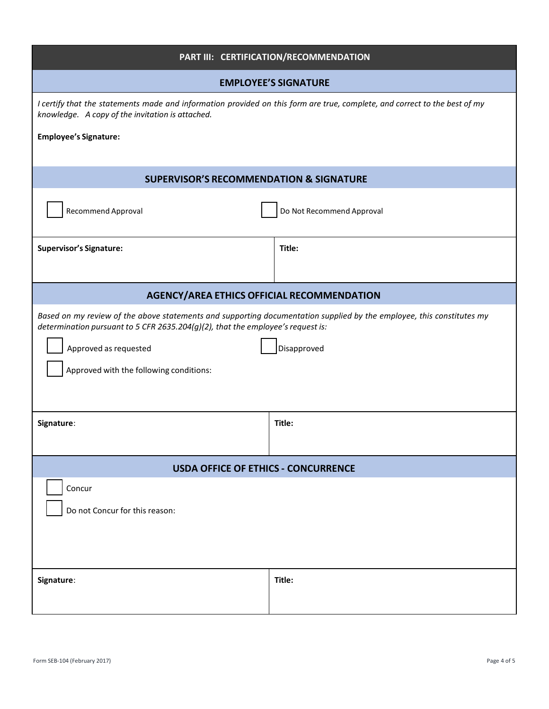| PART III: CERTIFICATION/RECOMMENDATION                                                                                                                                                                   |                           |  |  |
|----------------------------------------------------------------------------------------------------------------------------------------------------------------------------------------------------------|---------------------------|--|--|
| <b>EMPLOYEE'S SIGNATURE</b>                                                                                                                                                                              |                           |  |  |
| I certify that the statements made and information provided on this form are true, complete, and correct to the best of my<br>knowledge. A copy of the invitation is attached.                           |                           |  |  |
| <b>Employee's Signature:</b>                                                                                                                                                                             |                           |  |  |
| <b>SUPERVISOR'S RECOMMENDATION &amp; SIGNATURE</b>                                                                                                                                                       |                           |  |  |
| <b>Recommend Approval</b>                                                                                                                                                                                | Do Not Recommend Approval |  |  |
| <b>Supervisor's Signature:</b>                                                                                                                                                                           | Title:                    |  |  |
| <b>AGENCY/AREA ETHICS OFFICIAL RECOMMENDATION</b>                                                                                                                                                        |                           |  |  |
| Based on my review of the above statements and supporting documentation supplied by the employee, this constitutes my<br>determination pursuant to 5 CFR 2635.204(g)(2), that the employee's request is: |                           |  |  |
| Approved as requested                                                                                                                                                                                    | Disapproved               |  |  |
| Approved with the following conditions:                                                                                                                                                                  |                           |  |  |
|                                                                                                                                                                                                          |                           |  |  |
| Signature:                                                                                                                                                                                               | Title:                    |  |  |
|                                                                                                                                                                                                          |                           |  |  |
| <b>USDA OFFICE OF ETHICS - CONCURRENCE</b>                                                                                                                                                               |                           |  |  |
| Concur                                                                                                                                                                                                   |                           |  |  |
| Do not Concur for this reason:                                                                                                                                                                           |                           |  |  |
|                                                                                                                                                                                                          |                           |  |  |
|                                                                                                                                                                                                          |                           |  |  |
| Signature:                                                                                                                                                                                               | Title:                    |  |  |
|                                                                                                                                                                                                          |                           |  |  |